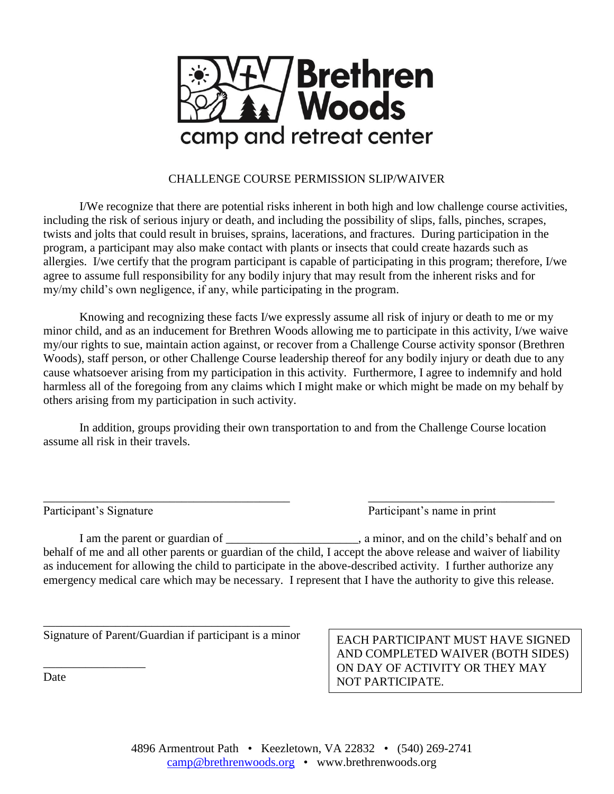

## CHALLENGE COURSE PERMISSION SLIP/WAIVER

I/We recognize that there are potential risks inherent in both high and low challenge course activities, including the risk of serious injury or death, and including the possibility of slips, falls, pinches, scrapes, twists and jolts that could result in bruises, sprains, lacerations, and fractures. During participation in the program, a participant may also make contact with plants or insects that could create hazards such as allergies. I/we certify that the program participant is capable of participating in this program; therefore, I/we agree to assume full responsibility for any bodily injury that may result from the inherent risks and for my/my child's own negligence, if any, while participating in the program.

Knowing and recognizing these facts I/we expressly assume all risk of injury or death to me or my minor child, and as an inducement for Brethren Woods allowing me to participate in this activity, I/we waive my/our rights to sue, maintain action against, or recover from a Challenge Course activity sponsor (Brethren Woods), staff person, or other Challenge Course leadership thereof for any bodily injury or death due to any cause whatsoever arising from my participation in this activity. Furthermore, I agree to indemnify and hold harmless all of the foregoing from any claims which I might make or which might be made on my behalf by others arising from my participation in such activity.

In addition, groups providing their own transportation to and from the Challenge Course location assume all risk in their travels.

\_\_\_\_\_\_\_\_\_\_\_\_\_\_\_\_\_\_\_\_\_\_\_\_\_\_\_\_\_\_\_\_\_\_\_\_\_\_\_\_\_ \_\_\_\_\_\_\_\_\_\_\_\_\_\_\_\_\_\_\_\_\_\_\_\_\_\_\_\_\_\_\_

\_\_\_\_\_\_\_\_\_\_\_\_\_\_\_\_\_

Participant's Signature Participant's name in print

I am the parent or guardian of \_\_\_\_\_\_\_\_\_\_\_\_\_\_\_\_\_\_\_\_, a minor, and on the child's behalf and on behalf of me and all other parents or guardian of the child, I accept the above release and waiver of liability as inducement for allowing the child to participate in the above-described activity. I further authorize any emergency medical care which may be necessary. I represent that I have the authority to give this release.

\_\_\_\_\_\_\_\_\_\_\_\_\_\_\_\_\_\_\_\_\_\_\_\_\_\_\_\_\_\_\_\_\_\_\_\_\_\_\_\_\_ Signature of Parent/Guardian if participant is a minor

EACH PARTICIPANT MUST HAVE SIGNED AND COMPLETED WAIVER (BOTH SIDES) ON DAY OF ACTIVITY OR THEY MAY NOT PARTICIPATE.

Date